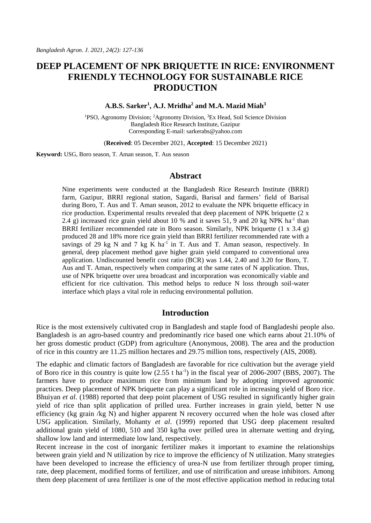# **DEEP PLACEMENT OF NPK BRIQUETTE IN RICE: ENVIRONMENT FRIENDLY TECHNOLOGY FOR SUSTAINABLE RICE PRODUCTION**

#### **A.B.S. Sarker<sup>1</sup> , A.J. Mridha<sup>2</sup> and M.A. Mazid Miah<sup>3</sup>**

<sup>1</sup>PSO, Agronomy Division; <sup>2</sup>Agronomy Division, <sup>3</sup>Ex Head, Soil Science Division Bangladesh Rice Research Institute, Gazipur Corresponding E-mail[: sarkerabs@yahoo.com](mailto:sarkerabs@yahoo.com)

(**Received**: 05 December 2021, **Accepted**: 15 December 2021)

**Keyword:** USG, Boro season, T. Aman season, T. Aus season

#### **Abstract**

Nine experiments were conducted at the Bangladesh Rice Research Institute (BRRI) farm, Gazipur, BRRI regional station, Sagardi, Barisal and farmers' field of Barisal during Boro, T. Aus and T. Aman season, 2012 to evaluate the NPK briquette efficacy in rice production. Experimental results revealed that deep placement of NPK briquette (2 x 2.4 g) increased rice grain yield about 10 % and it saves 51, 9 and 20 kg NPK ha<sup>-1</sup> than BRRI fertilizer recommended rate in Boro season. Similarly, NPK briquette (1 x 3.4 g) produced 28 and 18% more rice grain yield than BRRI fertilizer recommended rate with a savings of 29 kg N and 7 kg K ha $^{-1}$  in T. Aus and T. Aman season, respectively. In general, deep placement method gave higher grain yield compared to conventional urea application. Undiscounted benefit cost ratio (BCR) was 1.44, 2.40 and 3.20 for Boro, T. Aus and T. Aman, respectively when comparing at the same rates of N application. Thus, use of NPK briquette over urea broadcast and incorporation was economically viable and efficient for rice cultivation. This method helps to reduce N loss through soil-water interface which plays a vital role in reducing environmental pollution.

## **Introduction**

Rice is the most extensively cultivated crop in Bangladesh and staple food of Bangladeshi people also. Bangladesh is an agro-based country and predominantly rice based one which earns about 21.10% of her gross domestic product (GDP) from agriculture (Anonymous, 2008). The area and the production of rice in this country are 11.25 million hectares and 29.75 million tons, respectively (AIS, 2008).

The edaphic and climatic factors of Bangladesh are favorable for rice cultivation but the average yield of Boro rice in this country is quite low (2.55 t ha-1 ) in the fiscal year of 2006-2007 (BBS, 2007). The farmers have to produce maximum rice from minimum land by adopting improved agronomic practices. Deep placement of NPK briquette can play a significant role in increasing yield of Boro rice. Bhuiyan *et al*. (1988) reported that deep point placement of USG resulted in significantly higher grain yield of rice than split application of prilled urea. Further increases in grain yield, better N use efficiency (kg grain /kg N) and higher apparent N recovery occurred when the hole was closed after USG application. Similarly, Mohanty *et al*. (1999) reported that USG deep placement resulted additional grain yield of 1080, 510 and 350 kg/ha over prilled urea in alternate wetting and drying, shallow low land and intermediate low land, respectively.

Recent increase in the cost of inorganic fertilizer makes it important to examine the relationships between grain yield and N utilization by rice to improve the efficiency of N utilization. Many strategies have been developed to increase the efficiency of urea-N use from fertilizer through proper timing, rate, deep placement, modified forms of fertilizer, and use of nitrification and urease inhibitors. Among them deep placement of urea fertilizer is one of the most effective application method in reducing total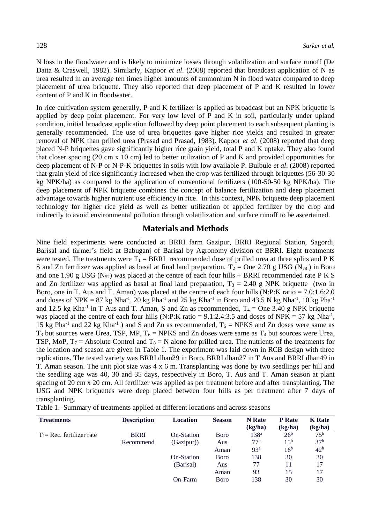N loss in the floodwater and is likely to minimize losses through volatilization and surface runoff (De Datta & Craswell, 1982). Similarly, Kapoor *et al*. (2008) reported that broadcast application of N as urea resulted in an average ten times higher amounts of ammonium N in flood water compared to deep placement of urea briquette. They also reported that deep placement of P and K resulted in lower content of P and K in floodwater.

In rice cultivation system generally, P and K fertilizer is applied as broadcast but an NPK briquette is applied by deep point placement. For very low level of P and K in soil, particularly under upland condition, initial broadcast application followed by deep point placement to each subsequent planting is generally recommended. The use of urea briquettes gave higher rice yields and resulted in greater removal of NPK than prilled urea (Prasad and Prasad, 1983). Kapoor *et al*. (2008) reported that deep placed N-P briquettes gave significantly higher rice grain yield, total P and K uptake. They also found that closer spacing (20 cm x 10 cm) led to better utilization of P and K and provided opportunities for deep placement of N-P or N-P-K briquettes in soils with low available P. Bulbule *et al*. (2008) reported that grain yield of rice significantly increased when the crop was fertilized through briquettes (56-30-30 kg NPK/ha) as compared to the application of conventional fertilizers (100-50-50 kg NPK/ha). The deep placement of NPK briquette combines the concept of balance fertilization and deep placement advantage towards higher nutrient use efficiency in rice. In this context, NPK briquette deep placement technology for higher rice yield as well as better utilization of applied fertilizer by the crop and indirectly to avoid environmental pollution through volatilization and surface runoff to be ascertained.

### **Materials and Methods**

Nine field experiments were conducted at BRRI farm Gazipur, BRRI Regional Station, Sagordi, Barisal and farmer's field at Babuganj of Barisal by Agronomy division of BRRI. Eight treatments were tested. The treatments were  $T_1 = BRRI$  recommended dose of prilled urea at three splits and P K S and Zn fertilizer was applied as basal at final land preparation,  $T_2 =$ One 2.70 g USG (N<sub>78</sub>) in Boro and one 1.90 g USG ( $N_{52}$ ) was placed at the centre of each four hills + BRRI recommended rate P K S and Zn fertilizer was applied as basal at final land preparation,  $T_3 = 2.40$  g NPK briquette (two in Boro, one in T. Aus and T. Aman) was placed at the centre of each four hills (N:P:K ratio = 7.0:1.6:2.0 and doses of NPK =  $87 \text{ kg Nha}^{-1}$ ,  $20 \text{ kg Pha}^{-1}$  and  $25 \text{ kg Kha}^{-1}$  in Boro and  $43.5 \text{ N kg Nha}^{-1}$ ,  $10 \text{ kg Pha}^{-1}$ and 12.5 kg Kha<sup>-1</sup> in T Aus and T. Aman, S and Zn as recommended,  $T_4 =$ One 3.40 g NPK briquette was placed at the centre of each four hills (N:P:K ratio =  $9.1:2.4:3.5$  and doses of NPK = 57 kg Nha<sup>-1</sup>, 15 kg Pha<sup>-1</sup> and 22 kg Kha<sup>-1</sup>) and S and Zn as recommended,  $T_5$  = NPKS and Zn doses were same as  $T_3$  but sources were Urea, TSP, MP,  $T_6$  = NPKS and Zn doses were same as  $T_4$  but sources were Urea, TSP, MoP,  $T_7$  = Absolute Control and  $T_8$  = N alone for prilled urea. The nutrients of the treatments for the location and season are given in Table 1. The experiment was laid down in RCB design with three replications. The tested variety was BRRI dhan29 in Boro, BRRI dhan27 in T Aus and BRRI dhan49 in T. Aman season. The unit plot size was 4 x 6 m. Transplanting was done by two seedlings per hill and the seedling age was 40, 30 and 35 days, respectively in Boro, T. Aus and T. Aman season at plant spacing of 20 cm x 20 cm. All fertilizer was applied as per treatment before and after transplanting. The USG and NPK briquettes were deep placed between four hills as per treatment after 7 days of transplanting.

Table 1. Summary of treatments applied at different locations and across seasons

| <b>Treatments</b>          | <b>Description</b> | Location   | <b>Season</b> | N Rate<br>(kg/ha) | <b>P</b> Rate<br>(kg/ha) | <b>K</b> Rate<br>(kg/ha) |
|----------------------------|--------------------|------------|---------------|-------------------|--------------------------|--------------------------|
| $T_1$ Rec. fertilizer rate | <b>BRRI</b>        | On-Station | Boro          | 138 <sup>a</sup>  | 26 <sup>b</sup>          | 75 <sup>b</sup>          |
|                            | Recommend          | (Gazipur)) | Aus           | 77 <sup>a</sup>   | $1.5^{b}$                | 37 <sup>b</sup>          |
|                            |                    |            | Aman          | 93 <sup>a</sup>   | 16 <sup>b</sup>          | 42 <sup>b</sup>          |
|                            |                    | On-Station | Boro          | 138               | 30                       | 30                       |
|                            |                    | (Barisal)  | Aus           | 77                | 11                       | 17                       |
|                            |                    |            | Aman          | 93                | 15                       | 17                       |
|                            |                    | $On-Farm$  | Boro          | 138               | 30                       | 30                       |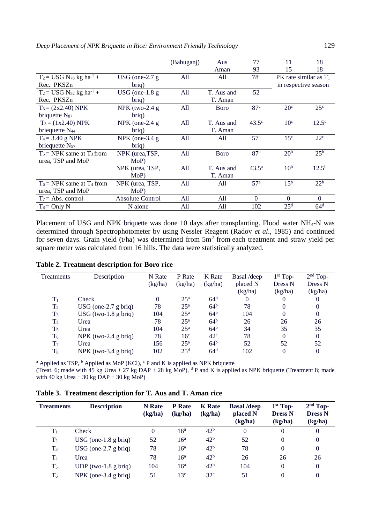|                                 |                            | (Babuganj) | Aus          | 77              | 11                         | 18              |
|---------------------------------|----------------------------|------------|--------------|-----------------|----------------------------|-----------------|
|                                 |                            |            | Aman         | 93              | 15                         | 18              |
| $T_2 = USG N_{78} kg ha^{-1} +$ | $USG$ (one-2.7 g)          | All        | All          | 78c             | $PK$ rate similar as $T_1$ |                 |
| Rec. PKSZn                      | brig)                      |            |              |                 | in respective season       |                 |
| $T_2 = USG N_{52} kg ha^{-1} +$ | USG (one- $1.8\text{ g}$ ) | All        | T. Aus and   | 52              |                            |                 |
| Rec. PKSZn                      | briq)                      |            | T. Aman      |                 |                            |                 |
| $T_3 = (2x2.40) NPK$            | $NPK$ (two-2.4 g)          | All        | <b>B</b> oro | 87c             | 20 <sup>c</sup>            | $25^{\circ}$    |
| briquette $N_{87}$              | brig)                      |            |              |                 |                            |                 |
| $T_3 = (1x2.40) NPK$            | NPK (one-2.4 $g$ )         | All        | T. Aus and   | $43.5^\circ$    | 10 <sup>c</sup>            | $12.5^{\circ}$  |
| briequette $N_{44}$             | briq)                      |            | T. Aman      |                 |                            |                 |
| $T_4 = 3.40$ g NPK              | NPK (one- $3.4 g$ )        | All        | All          | 57 <sup>c</sup> | 15 <sup>c</sup>            | $22^{\circ}$    |
| briequette $N_{57}$             | brig)                      |            |              |                 |                            |                 |
| $T_5$ = NPK same at $T_3$ from  | NPK (urea, TSP,            | All        | <b>B</b> oro | 87 <sup>a</sup> | 20 <sup>b</sup>            | 25 <sup>b</sup> |
| urea, TSP and MoP               | MoP                        |            |              |                 |                            |                 |
|                                 | NPK (urea, TSP,            | All        | T. Aus and   | $43.5^{\circ}$  | 10 <sup>b</sup>            | $12.5^{b}$      |
|                                 | MoP                        |            | T. Aman      |                 |                            |                 |
| $T_6$ = NPK same at $T_4$ from  | NPK (urea, TSP,            | All        | All          | 57 <sup>a</sup> | 15 <sup>b</sup>            | 22 <sup>b</sup> |
| urea, TSP and MoP               | MoP)                       |            |              |                 |                            |                 |
| $T_7$ = Abs. control            | <b>Absolute Control</b>    | All        | All          | $\Omega$        | $\Omega$                   | $\Omega$        |
| $T_8 =$ Only N                  | N alone                    | All        | All          | 102             | 25 <sup>d</sup>            | 64 <sup>d</sup> |

Placement of USG and NPK briquette was done 10 days after transplanting. Flood water NH<sub>4</sub>-N was determined through Spectrophotometer by using Nessler Reagent (Radov *et al*., 1985) and continued for seven days. Grain yield  $(t/ha)$  was determined from  $5m<sup>2</sup>$  from each treatment and straw yield per square meter was calculated from 16 hills. The data were statistically analyzed.

| Table 2. Treatment description for Boro rice |  |  |
|----------------------------------------------|--|--|
|----------------------------------------------|--|--|

| Treatments     | Description          | N Rate<br>(kg/ha) | P Rate<br>(kg/ha) | K Rate<br>(kg/ha) | Basal /deep<br>placed N | $1st$ Top-<br>Dress N | $2nd$ Top-<br>Dress N |
|----------------|----------------------|-------------------|-------------------|-------------------|-------------------------|-----------------------|-----------------------|
|                |                      |                   |                   |                   | (kg/ha)                 | (kg/ha)               | (kg/ha)               |
| $T_1$          | Check                | 0                 | 25 <sup>a</sup>   | 64 <sup>b</sup>   |                         | 0                     |                       |
| T <sub>2</sub> | USG (one-2.7 g brig) | 78                | $25^{\rm a}$      | 64 <sup>b</sup>   | 78                      | 0                     | 0                     |
| $T_3$          | USG (two-1.8 g brig) | 104               | $25^{\rm a}$      | 64 <sup>b</sup>   | 104                     | $\theta$              | 0                     |
| T <sub>4</sub> | Urea                 | 78                | $25^{\rm a}$      | 64 <sup>b</sup>   | 26                      | 26                    | 26                    |
| T <sub>5</sub> | Urea                 | 104               | 25 <sup>a</sup>   | 64 <sup>b</sup>   | 34                      | 35                    | 35                    |
| T <sub>6</sub> | NPK (two-2.4 g brig) | 78                | 16 <sup>c</sup>   | $42^{\circ}$      | 78                      | $\Omega$              | 0                     |
| T <sub>7</sub> | Urea                 | 156               | $25^{\rm a}$      | 64 <sup>b</sup>   | 52                      | 52                    | 52                    |
| $\rm T_{8}$    | NPK (two-3.4 g brig) | 102               | 25 <sup>d</sup>   | 64 <sup>d</sup>   | 102                     | 0                     | 0                     |

<sup>a</sup> Applied as TSP,  $\frac{b}{c}$  Applied as MoP (KCl),  $\frac{c}{c}$  P and K is applied as NPK briquette

(Treat. 6; made with 45 kg Urea + 27 kg DAP + 28 kg MoP),  $\rm^d$  P and K is applied as NPK briquette (Treatment 8; made with 40 kg Urea + 30 kg  $\overline{DAP}$  + 30 kg  $\overline{MOP}$ )

|  |  | Table 3. Treatment description for T. Aus and T. Aman rice |  |  |  |
|--|--|------------------------------------------------------------|--|--|--|
|--|--|------------------------------------------------------------|--|--|--|

| <b>Treatments</b> | <b>Description</b>               | N Rate<br>(kg/ha) | <b>P</b> Rate<br>(kg/ha) | <b>K</b> Rate<br>(kg/ha) | <b>Basal</b> /deep<br>placed N<br>(kg/ha) | $1st$ Top-<br><b>Dress N</b><br>(kg/ha) | $2nd$ Top-<br><b>Dress N</b><br>(kg/ha) |
|-------------------|----------------------------------|-------------------|--------------------------|--------------------------|-------------------------------------------|-----------------------------------------|-----------------------------------------|
| $T_1$             | Check                            |                   | 16 <sup>a</sup>          | 42 <sup>b</sup>          | $\Omega$                                  | $\Omega$                                | 0                                       |
| T <sub>2</sub>    | USG (one- $1.8 \text{ g briq}$ ) | 52                | 16 <sup>a</sup>          | 42 <sup>b</sup>          | 52                                        | $\Omega$                                | 0                                       |
| T <sub>3</sub>    | USG (one-2.7 g brig)             | 78                | 16 <sup>a</sup>          | 42 <sup>b</sup>          | 78                                        | $\Omega$                                | $\theta$                                |
| T <sub>4</sub>    | Urea                             | 78                | 16 <sup>a</sup>          | 42 <sup>b</sup>          | 26                                        | 26                                      | 26                                      |
| T <sub>5</sub>    | UDP $(two-1.8 g brig)$           | 104               | 16 <sup>a</sup>          | 42 <sup>b</sup>          | 104                                       | $\Omega$                                | 0                                       |
| $T_6$             | NPK (one-3.4 g brig)             | 51                | 13 <sup>c</sup>          | 32 <sup>c</sup>          | 51                                        |                                         | 0                                       |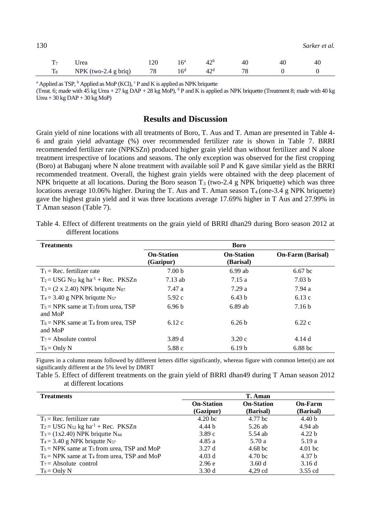| 130            |                      |     |                 |                 |    |    | Sarker et al. |
|----------------|----------------------|-----|-----------------|-----------------|----|----|---------------|
| T <sub>7</sub> | Urea                 | 120 | 16 <sup>a</sup> | 42 <sup>b</sup> | 40 | 40 | 40            |
| $T_{8}$        | NPK (two-2.4 g briq) | 78  | 16 <sup>d</sup> | 42 <sup>d</sup> | 78 |    |               |

<sup>a</sup> Applied as TSP, <sup>b</sup> Applied as MoP (KCl), <sup>c</sup> P and K is applied as NPK briquette

(Treat. 6; made with 45 kg Urea + 27 kg DAP + 28 kg MoP),  $\rm{d}P$  and K is applied as NPK briquette (Treatment 8; made with 40 kg Urea +  $30 \text{ kg }$  DAP +  $30 \text{ kg }$  MoP)

# **Results and Discussion**

Grain yield of nine locations with all treatments of Boro, T. Aus and T. Aman are presented in Table 4- 6 and grain yield advantage (%) over recommended fertilizer rate is shown in Table 7. BRRI recommended fertilizer rate (NPKSZn) produced higher grain yield than without fertilizer and N alone treatment irrespective of locations and seasons. The only exception was observed for the first cropping (Boro) at Babuganj where N alone treatment with available soil P and K gave similar yield as the BRRI recommended treatment. Overall, the highest grain yields were obtained with the deep placement of NPK briquette at all locations. During the Boro season  $T_3$  (two-2.4 g NPK briquette) which was three locations average 10.06% higher. During the T. Aus and T. Aman season  $T_4$  (one-3.4 g NPK briquette) gave the highest grain yield and it was three locations average 17.69% higher in T Aus and 27.99% in T Aman season (Table 7).

| <b>Treatments</b>                                            |                                | <b>Boro</b>                    |                          |
|--------------------------------------------------------------|--------------------------------|--------------------------------|--------------------------|
|                                                              | <b>On-Station</b><br>(Gazipur) | <b>On-Station</b><br>(Barisal) | <b>On-Farm (Barisal)</b> |
| $T_1$ = Rec. fertilizer rate                                 | 7.00 <sub>b</sub>              | $6.99$ ab                      | $6.67$ bc                |
| $T_2$ = USG N <sub>52</sub> kg ha <sup>-1</sup> + Rec. PKSZn | $7.13$ ab                      | 7.15 a                         | 7.03 <sub>b</sub>        |
| $T_3 = (2 \times 2.40)$ NPK brigutte N <sub>87</sub>         | 7.47 a                         | 7.29a                          | 7.94 a                   |
| $T_4 = 3.40$ g NPK brigutte N <sub>57</sub>                  | 5.92c                          | 6.43h                          | 6.13c                    |
| $T_5$ = NPK same at $T_3$ from urea, TSP<br>and MoP          | 6.96 <sub>b</sub>              | $6.89$ ab                      | 7.16 <sub>b</sub>        |
| $T_6$ = NPK same at $T_4$ from urea, TSP<br>and MoP          | 6.12c                          | 6.26 <sub>b</sub>              | 6.22c                    |
| $T_7$ = Absolute control                                     | 3.89d                          | 3.20c                          | 4.14 d                   |
| $T_8 =$ Only N                                               | 5.88 c                         | 6.19 <sub>b</sub>              | $6.88$ bc                |

Table 4. Effect of different treatments on the grain yield of BRRI dhan29 during Boro season 2012 at different locations

Figures in a column means followed by different letters differ significantly, whereas figure with common letter(s) are not significantly different at the 5% level by DMRT

Table 5. Effect of different treatments on the grain yield of BRRI dhan49 during T Aman season 2012 at different locations

| <b>Treatments</b>                                |                    | T. Aman            |                   |
|--------------------------------------------------|--------------------|--------------------|-------------------|
|                                                  | <b>On-Station</b>  | <b>On-Station</b>  | On-Farm           |
|                                                  | (Gazipur)          | (Barisal)          | (Barisal)         |
| $T_1$ = Rec. fertilizer rate                     | 4.20 <sub>bc</sub> | 4.77 bc            | 4.40 <sub>b</sub> |
| $T_2 = USG N_{52} kg ha^{-1} + Rec. PKSZn$       | 4.44 <sub>b</sub>  | 5.26 ab            | $4.94$ ab         |
| $T_3 = (1x2.40)$ NPK brigutte N <sub>44</sub>    | 3.89c              | 5.54 ab            | 4.22 <sub>b</sub> |
| $T_4 = 3.40$ g NPK briquite N <sub>57</sub>      | 4.85 a             | 5.70 a             | 5.19 a            |
| $T_5$ = NPK same at $T_3$ from urea, TSP and MoP | 3.27 d             | 4.68 <sub>bc</sub> | $4.01$ bc         |
| $T_6$ = NPK same at $T_4$ from urea, TSP and MoP | 4.03d              | 4.70 <sub>bc</sub> | 4.37 b            |
| $T_7$ = Absolute control                         | 2.96e              | 3.60d              | 3.16d             |
| $T_8 =$ Only N                                   | 3.30d              | $4.29$ cd          | 3.55 cd           |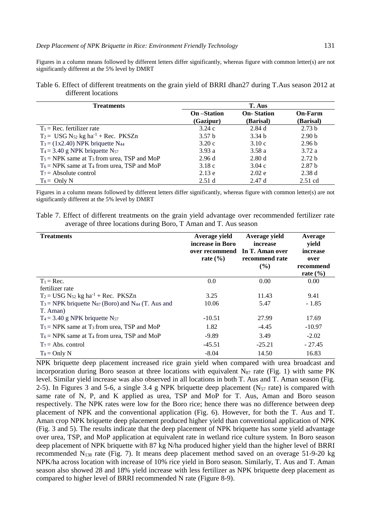Figures in a column means followed by different letters differ significantly, whereas figure with common letter(s) are not significantly different at the 5% level by DMRT

| Table 6. Effect of different treatments on the grain yield of BRRI dhan27 during T.Aus season 2012 at |  |  |  |
|-------------------------------------------------------------------------------------------------------|--|--|--|
| different locations                                                                                   |  |  |  |

| <b>Treatments</b>                                            |                   | T. Aus            |                   |
|--------------------------------------------------------------|-------------------|-------------------|-------------------|
|                                                              | On –Station       | <b>On-Station</b> | <b>On-Farm</b>    |
|                                                              | (Gazipur)         | (Barisal)         | (Barisal)         |
| $T_1$ = Rec. fertilizer rate                                 | 3.24c             | 2.84d             | 2.73 <sub>b</sub> |
| $T_2$ = USG N <sub>52</sub> kg ha <sup>-1</sup> + Rec. PKSZn | 3.57 <sub>b</sub> | 3.34 <sub>b</sub> | 2.90 <sub>b</sub> |
| $T_3 = (1x2.40)$ NPK briquette N <sub>44</sub>               | 3.20c             | 3.10c             | 2.96 <sub>b</sub> |
| $T_4 = 3.40$ g NPK briquette N <sub>57</sub>                 | 3.93a             | 3.58a             | 3.72a             |
| $T_5$ = NPK same at $T_3$ from urea, TSP and MoP             | 2.96d             | 2.80d             | 2.72 <sub>b</sub> |
| $T_6$ = NPK same at $T_4$ from urea, TSP and MoP             | 3.18c             | 3.04c             | 2.87 <sub>b</sub> |
| $T_7$ = Absolute control                                     | 2.13e             | 2.02e             | 2.38d             |
| $T_8 =$ Only N                                               | 2.51d             | 2.47 d            | $2.51$ cd         |

Figures in a column means followed by different letters differ significantly, whereas figure with common letter(s) are not significantly different at the 5% level by DMRT

|  |                                                                  |  |  | Table 7. Effect of different treatments on the grain yield advantage over recommended fertilizer rate |  |
|--|------------------------------------------------------------------|--|--|-------------------------------------------------------------------------------------------------------|--|
|  | average of three locations during Boro, T Aman and T. Aus season |  |  |                                                                                                       |  |

| <b>Treatments</b>                                                            | Average vield<br>increase in Boro<br>over recommend<br>rate $(\% )$ | Average vield<br>increase<br>In T. Aman over<br>recommend rate<br>$($ %) | Average<br>vield<br>increase<br>over<br>recommend<br>rate $(\% )$ |
|------------------------------------------------------------------------------|---------------------------------------------------------------------|--------------------------------------------------------------------------|-------------------------------------------------------------------|
| $T_1 = \text{Rec.}$                                                          | 0.0                                                                 | 0.00                                                                     | 0.00                                                              |
| fertilizer rate                                                              |                                                                     |                                                                          |                                                                   |
| $T_2$ = USG N <sub>52</sub> kg ha <sup>-1</sup> + Rec. PKSZn                 | 3.25                                                                | 11.43                                                                    | 9.41                                                              |
| $T_3$ = NPK briquette N <sub>87</sub> (Boro) and N <sub>44</sub> (T. Aus and | 10.06                                                               | 5.47                                                                     | $-1.85$                                                           |
| T. Aman)                                                                     |                                                                     |                                                                          |                                                                   |
| $T_4$ = 3.40 g NPK briquette N <sub>57</sub>                                 | $-10.51$                                                            | 27.99                                                                    | 17.69                                                             |
| $T_5$ = NPK same at $T_3$ from urea, TSP and MoP                             | 1.82                                                                | $-4.45$                                                                  | $-10.97$                                                          |
| $T_6$ = NPK same at $T_4$ from urea, TSP and MoP                             | $-9.89$                                                             | 3.49                                                                     | $-2.02$                                                           |
| $T_7$ = Abs. control                                                         | $-45.51$                                                            | $-25.21$                                                                 | $-27.45$                                                          |
| $T_8 =$ Only N                                                               | $-8.04$                                                             | 14.50                                                                    | 16.83                                                             |

NPK briquette deep placement increased rice grain yield when compared with urea broadcast and incorporation during Boro season at three locations with equivalent  $N_{87}$  rate (Fig. 1) with same PK level. Similar yield increase was also observed in all locations in both T. Aus and T. Aman season (Fig. 2-5). In Figures 3 and 5-6, a single 3.4 g NPK briquette deep placement ( $N_{57}$  rate) is compared with same rate of N, P, and K applied as urea, TSP and MoP for T. Aus, Aman and Boro season respectively. The NPK rates were low for the Boro rice; hence there was no difference between deep placement of NPK and the conventional application (Fig. 6). However, for both the T. Aus and T. Aman crop NPK briquette deep placement produced higher yield than conventional application of NPK (Fig. 3 and 5). The results indicate that the deep placement of NPK briquette has some yield advantage over urea, TSP, and MoP application at equivalent rate in wetland rice culture system. In Boro season deep placement of NPK briquette with 87 kg N/ha produced higher yield than the higher level of BRRI recommended  $N_{138}$  rate (Fig. 7). It means deep placement method saved on an overage 51-9-20 kg NPK/ha across location with increase of 10% rice yield in Boro season. Similarly, T. Aus and T. Aman season also showed 28 and 18% yield increase with less fertilizer as NPK briquette deep placement as compared to higher level of BRRI recommended N rate (Figure 8-9).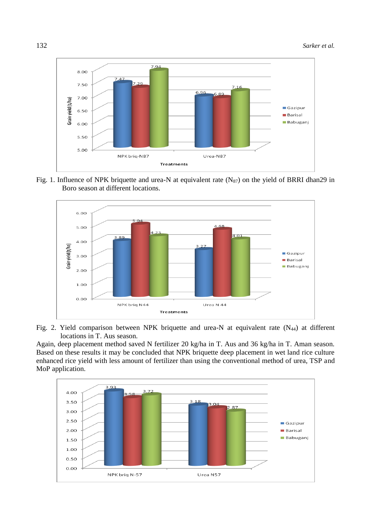

Fig. 1. Influence of NPK briquette and urea-N at equivalent rate  $(N_87)$  on the yield of BRRI dhan29 in Boro season at different locations.





Again, deep placement method saved N fertilizer 20 kg/ha in T. Aus and 36 kg/ha in T. Aman season. Based on these results it may be concluded that NPK briquette deep placement in wet land rice culture enhanced rice yield with less amount of fertilizer than using the conventional method of urea, TSP and MoP application.

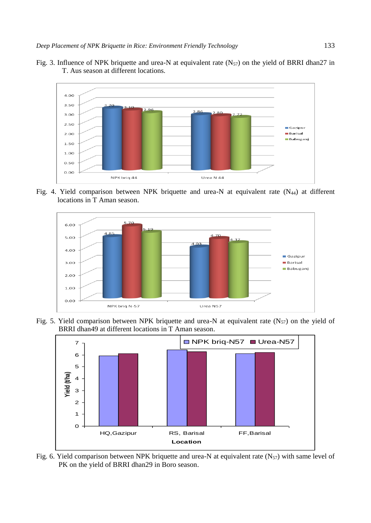Fig. 3. Influence of NPK briquette and urea-N at equivalent rate  $(N_{57})$  on the yield of BRRI dhan27 in T. Aus season at different locations.



Fig. 4. Yield comparison between NPK briquette and urea-N at equivalent rate (N44) at different locations in T Aman season.



Fig. 5. Yield comparison between NPK briquette and urea-N at equivalent rate  $(N_{57})$  on the yield of BRRI dhan49 at different locations in T Aman season.



Fig. 6. Yield comparison between NPK briquette and urea-N at equivalent rate  $(N_{57})$  with same level of PK on the yield of BRRI dhan29 in Boro season.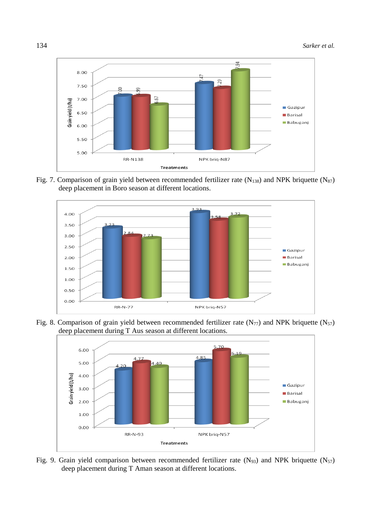

Fig. 7. Comparison of grain yield between recommended fertilizer rate ( $N_{138}$ ) and NPK briquette ( $N_{87}$ ) deep placement in Boro season at different locations.



Fig. 8. Comparison of grain yield between recommended fertilizer rate (N77) and NPK briquette (N57) deep placement during T Aus season at different locations.



Fig. 9. Grain yield comparison between recommended fertilizer rate  $(N_{93})$  and NPK briquette  $(N_{57})$ deep placement during T Aman season at different locations.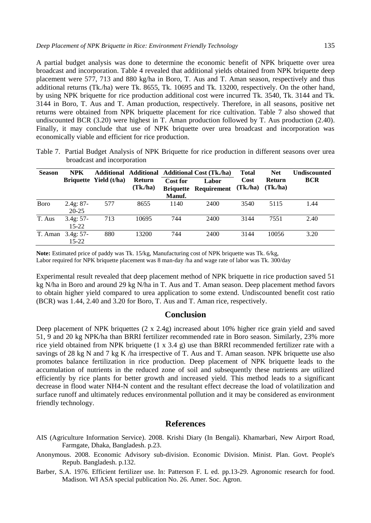A partial budget analysis was done to determine the economic benefit of NPK briquette over urea broadcast and incorporation. Table 4 revealed that additional yields obtained from NPK briquette deep placement were 577, 713 and 880 kg/ha in Boro, T. Aus and T. Aman season, respectively and thus additional returns (Tk./ha) were Tk. 8655, Tk. 10695 and Tk. 13200, respectively. On the other hand, by using NPK briquette for rice production additional cost were incurred Tk. 3540, Tk. 3144 and Tk. 3144 in Boro, T. Aus and T. Aman production, respectively. Therefore, in all seasons, positive net returns were obtained from NPK briquette placement for rice cultivation. Table 7 also showed that undiscounted BCR (3.20) were highest in T. Aman production followed by T. Aus production (2.40). Finally, it may conclude that use of NPK briquette over urea broadcast and incorporation was economically viable and efficient for rice production.

Table 7. Partial Budget Analysis of NPK Briquette for rice production in different seasons over urea broadcast and incorporation

| <b>Season</b> | <b>NPK</b>               |                        |                          |                    | Additional Additional Additional Cost (Tk./ha) | <b>Total</b>    | <b>Net</b>               | <b>Undiscounted</b> |
|---------------|--------------------------|------------------------|--------------------------|--------------------|------------------------------------------------|-----------------|--------------------------|---------------------|
|               |                          | Briquette Yield (t/ha) | <b>Return</b><br>(Tk, h) | Cost for<br>Manuf. | Labor<br><b>Briquette Requirement</b>          | Cost<br>(Tk/ha) | <b>Return</b><br>(Tk, h) | <b>BCR</b>          |
| Boro          | $2.4g: 87-$<br>$20 - 25$ | 577                    | 8655                     | 1140               | 2400                                           | 3540            | 5115                     | 1.44                |
| T. Aus        | $3.4g: 57-$<br>15-22     | 713                    | 10695                    | 744                | 2400                                           | 3144            | 7551                     | 2.40                |
| T. Aman       | $3.4g: 57-$<br>15-22     | 880                    | 13200                    | 744                | 2400                                           | 3144            | 10056                    | 3.20                |

**Note:** Estimated price of paddy was Tk. 15/kg, Manufacturing cost of NPK briquette was Tk. 6/kg,

Labor required for NPK briquette placement was 8 man-day /ha and wage rate of labor was Tk. 300/day

Experimental result revealed that deep placement method of NPK briquette in rice production saved 51 kg N/ha in Boro and around 29 kg N/ha in T. Aus and T. Aman season. Deep placement method favors to obtain higher yield compared to urea application to some extend. Undiscounted benefit cost ratio (BCR) was 1.44, 2.40 and 3.20 for Boro, T. Aus and T. Aman rice, respectively.

#### **Conclusion**

Deep placement of NPK briquettes (2 x 2.4g) increased about 10% higher rice grain yield and saved 51, 9 and 20 kg NPK/ha than BRRI fertilizer recommended rate in Boro season. Similarly, 23% more rice yield obtained from NPK briquette (1 x 3.4 g) use than BRRI recommended fertilizer rate with a savings of 28 kg N and 7 kg K /ha irrespective of T. Aus and T. Aman season. NPK briquette use also promotes balance fertilization in rice production. Deep placement of NPK briquette leads to the accumulation of nutrients in the reduced zone of soil and subsequently these nutrients are utilized efficiently by rice plants for better growth and increased yield. This method leads to a significant decrease in flood water NH4-N content and the resultant effect decrease the load of volatilization and surface runoff and ultimately reduces environmental pollution and it may be considered as environment friendly technology.

#### **References**

- AIS (Agriculture Information Service). 2008. Krishi Diary (In Bengali). Khamarbari, New Airport Road, Farmgate, Dhaka, Bangladesh. p.23.
- Anonymous. 2008. Economic Advisory sub-division. Economic Division. Minist. Plan. Govt. People's Repub. Bangladesh. p.132.
- Barber, S.A. 1976. Efficient fertilizer use. In: Patterson F. L ed. pp.13-29. Agronomic research for food. Madison. WI ASA special publication No. 26. Amer. Soc. Agron.